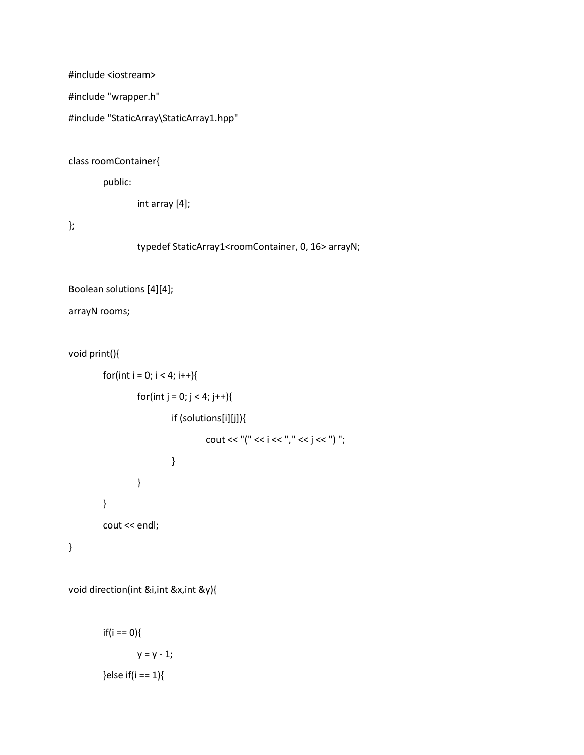#include <iostream>

#include "wrapper.h"

#include "StaticArray\StaticArray1.hpp"

class roomContainer{

public:

int array [4];

};

typedef StaticArray1<roomContainer, 0, 16> arrayN;

```
Boolean solutions [4][4];
```
arrayN rooms;

void print(){

```
for(int i = 0; i < 4; i++){
                  for(int j = 0; j < 4; j++){
                            if (solutions[i][j]){
                                     cout << "(" << i << ''," << j << '') ";
                            }
                  }
         }
         cout << endl;
}
```
void direction(int &i,int &x,int &y){

 $if(i == 0)$ {  $y = y - 1;$ }else if $(i == 1)$ {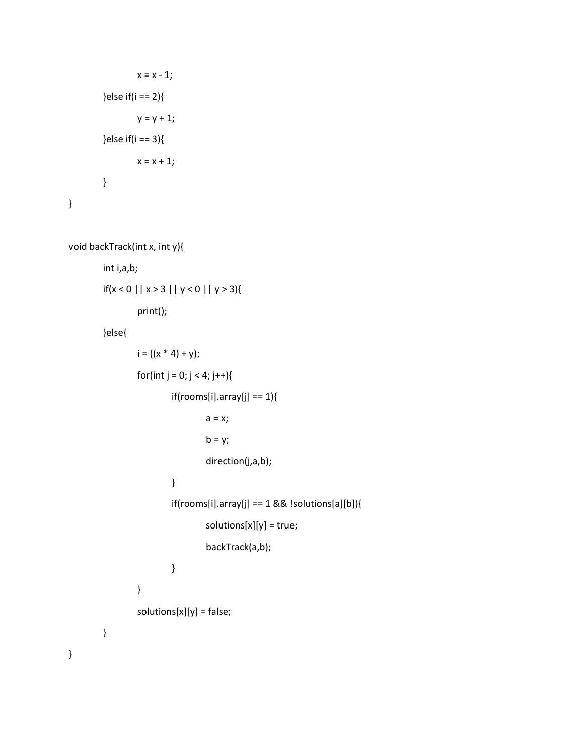```
x = x - 1;}else if(i == 2){
                 y = y + 1;}else if(i == 3){
                 x = x + 1;}
}
```

```
void backTrack(int x, int y){
```
int i,a,b;

```
if(x < 0 || x > 3 || y < 0 || y > 3){
```
print();

}else{

}

```
i = ((x * 4) + y);for(int j = 0; j < 4; j++){
                 if(rooms[i].array[j] == 1){
                          a = x;b = y;direction(j,a,b);
                 }
                 if(rooms[i].array[j] == 1 && !solutions[a][b]){
                          solutions[x][y] = true;
                          backTrack(a,b);
                 }
        }
        solutions[x][y] = false;
}
```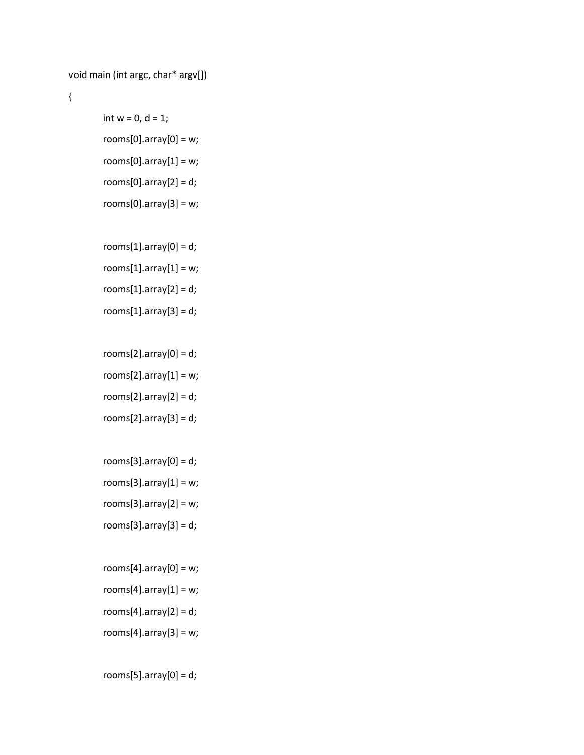```
void main (int argc, char* argv[])
```

```
{
```

```
int w = 0, d = 1;
rooms[0].array[0] = w;rooms[0].array[1] = w;
rooms[0].array[2] = d;rooms[0].array[3] = w;
```
 $rooms[1].array[0] = d;$ rooms $[1]$ .array $[1]$  = w;  $rooms[1].array[2] = d;$  $rooms[1].array[3] = d;$ 

 $rooms[2].array[0] = d;$ rooms $[2]$ .array $[1]$  = w;  $rooms[2].array[2] = d;$  $rooms[2].array[3] = d;$ 

rooms $[3]$ .array $[0]$  = d;  $rooms[3].array[1] = w;$ rooms[3].array[2] =  $w$ ;  $rooms[3].array[3] = d;$ 

 $rooms[4].array[0] = w;$  $rooms[4].array[1] = w;$  $rooms[4].array[2] = d;$  $rooms[4].array[3] = w;$ 

 $rooms[5].array[0] = d;$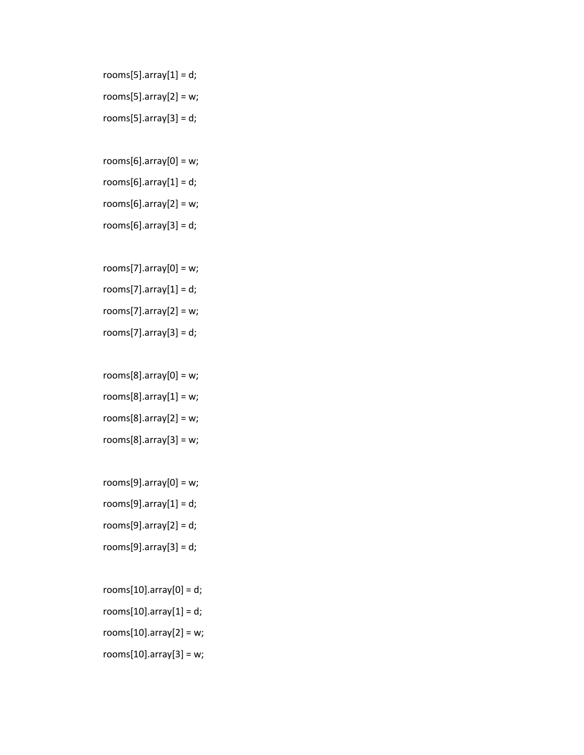- rooms $[5]$ .array $[1]$  = d;  $rooms[5].array[2] = w;$ rooms $[5]$ .array $[3]$  = d;
- rooms[6].array[0] =  $w$ ;  $rooms[6].array[1] = d;$  $rooms[6].array[2] = w;$ rooms $[6]$ .array $[3]$  = d;
- rooms[7].array[0] =  $w$ ;  $rooms[7].array[1] = d;$ rooms[7].array[2] =  $w$ ;  $rooms[7].array[3] = d;$
- $rooms[8].array[0] = w;$  $rooms[8].array[1] = w;$  $rooms[8].array[2] = w;$  $rooms[8].array[3] = w;$
- rooms[9].array[0] =  $w$ ; rooms $[9]$ .array $[1]$  = d;  $rooms[9].array[2] = d;$ rooms $[9]$ .array $[3]$  = d;
- $rooms[10].array[0] = d;$ rooms $[10]$ .array $[1]$  = d; rooms $[10]$ .array $[2]$  = w; rooms $[10]$ .array $[3]$  = w;